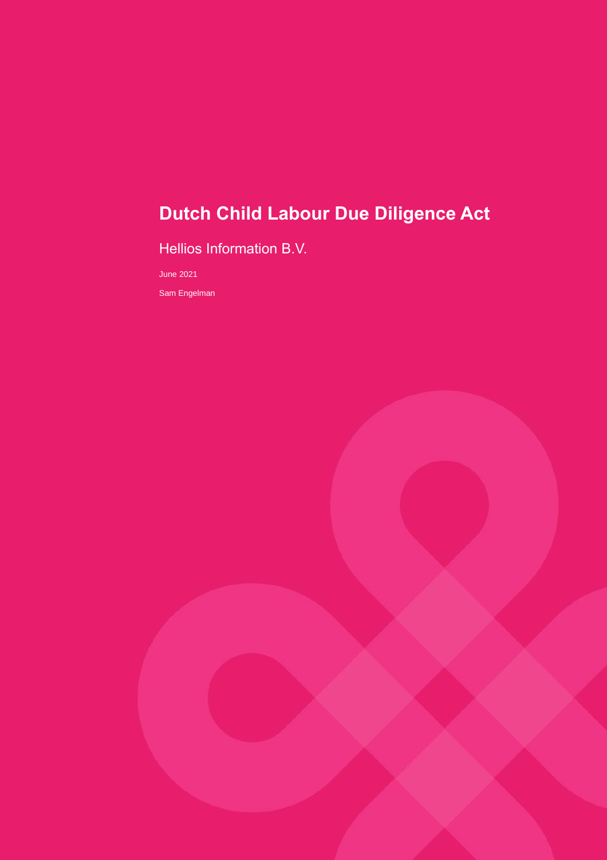# **Dutch Child Labour Due Diligence Act**

Hellios Information B.V.

June 2021

Sam Engelman

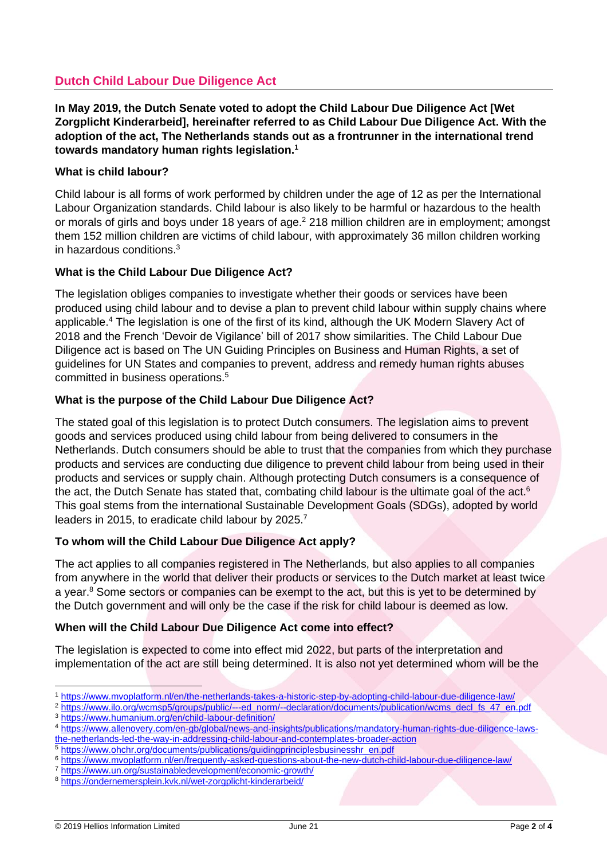### **Dutch Child Labour Due Diligence Act**

**In May 2019, the Dutch Senate voted to adopt the Child Labour Due Diligence Act [Wet Zorgplicht Kinderarbeid], hereinafter referred to as Child Labour Due Diligence Act. With the adoption of the act, The Netherlands stands out as a frontrunner in the international trend towards mandatory human rights legislation.<sup>1</sup>**

#### **What is child labour?**

Child labour is all forms of work performed by children under the age of 12 as per the International Labour Organization standards. Child labour is also likely to be harmful or hazardous to the health or morals of girls and boys under 18 years of age.<sup>2</sup> 218 million children are in employment; amongst them 152 million children are victims of child labour, with approximately 36 millon children working in hazardous conditions.<sup>3</sup>

#### **What is the Child Labour Due Diligence Act?**

The legislation obliges companies to investigate whether their goods or services have been produced using child labour and to devise a plan to prevent child labour within supply chains where applicable.<sup>4</sup> The legislation is one of the first of its kind, although the UK Modern Slavery Act of 2018 and the French 'Devoir de Vigilance' bill of 2017 show similarities. The Child Labour Due Diligence act is based on The UN Guiding Principles on Business and Human Rights, a set of guidelines for UN States and companies to prevent, address and remedy human rights abuses committed in business operations.<sup>5</sup>

#### **What is the purpose of the Child Labour Due Diligence Act?**

The stated goal of this legislation is to protect Dutch consumers. The legislation aims to prevent goods and services produced using child labour from being delivered to consumers in the Netherlands. Dutch consumers should be able to trust that the companies from which they purchase products and services are conducting due diligence to prevent child labour from being used in their products and services or supply chain. Although protecting Dutch consumers is a consequence of the act, the Dutch Senate has stated that, combating child labour is the ultimate goal of the act.<sup>6</sup> This goal stems from the international Sustainable Development Goals (SDGs), adopted by world leaders in 2015, to eradicate child labour by 2025.<sup>7</sup>

#### **To whom will the Child Labour Due Diligence Act apply?**

The act applies to all companies registered in The Netherlands, but also applies to all companies from anywhere in the world that deliver their products or services to the Dutch market at least twice a year. $8$  Some sectors or companies can be exempt to the act, but this is yet to be determined by the Dutch government and will only be the case if the risk for child labour is deemed as low.

#### **When will the Child Labour Due Diligence Act come into effect?**

The legislation is expected to come into effect mid 2022, but parts of the interpretation and implementation of the act are still being determined. It is also not yet determined whom will be the

<sup>5</sup> [https://www.ohchr.org/documents/publications/guidingprinciplesbusinesshr\\_en.pdf](https://www.ohchr.org/documents/publications/guidingprinciplesbusinesshr_en.pdf)

<sup>1</sup> <https://www.mvoplatform.nl/en/the-netherlands-takes-a-historic-step-by-adopting-child-labour-due-diligence-law/>

<sup>2</sup> [https://www.ilo.org/wcmsp5/groups/public/---ed\\_norm/--declaration/documents/publication/wcms\\_decl\\_fs\\_47\\_en.pdf](https://www.ilo.org/wcmsp5/groups/public/---ed_norm/--declaration/documents/publication/wcms_decl_fs_47_en.pdf)

<sup>3</sup> <https://www.humanium.org/en/child-labour-definition/>

<sup>4</sup> [https://www.allenovery.com/en-gb/global/news-and-insights/publications/mandatory-human-rights-due-diligence-laws](https://www.allenovery.com/en-gb/global/news-and-insights/publications/mandatory-human-rights-due-diligence-laws-the-netherlands-led-the-way-in-addressing-child-labour-and-contemplates-broader-action)[the-netherlands-led-the-way-in-addressing-child-labour-and-contemplates-broader-action](https://www.allenovery.com/en-gb/global/news-and-insights/publications/mandatory-human-rights-due-diligence-laws-the-netherlands-led-the-way-in-addressing-child-labour-and-contemplates-broader-action)

<sup>6</sup> <https://www.mvoplatform.nl/en/frequently-asked-questions-about-the-new-dutch-child-labour-due-diligence-law/>

<sup>7</sup> <https://www.un.org/sustainabledevelopment/economic-growth/>

<sup>8</sup> <https://ondernemersplein.kvk.nl/wet-zorgplicht-kinderarbeid/>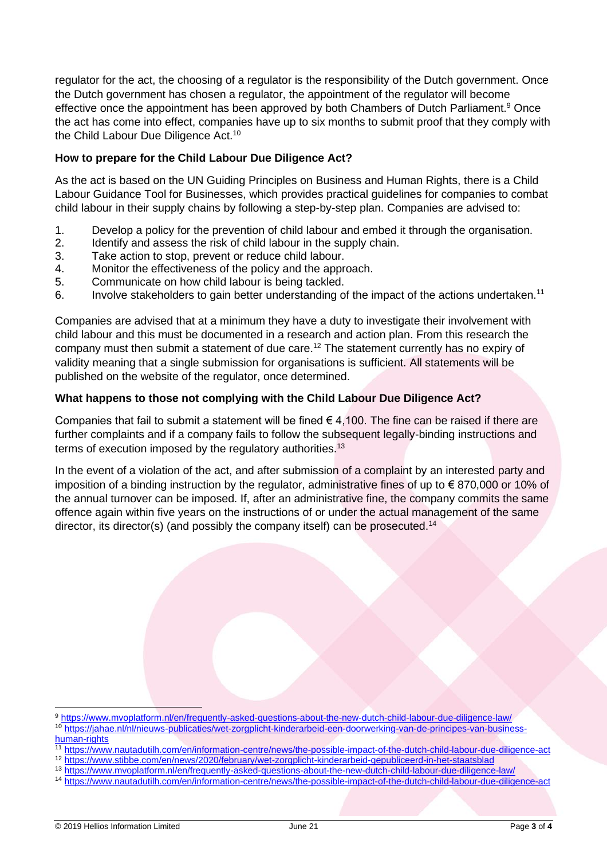regulator for the act, the choosing of a regulator is the responsibility of the Dutch government. Once the Dutch government has chosen a regulator, the appointment of the regulator will become effective once the appointment has been approved by both Chambers of Dutch Parliament.<sup>9</sup> Once the act has come into effect, companies have up to six months to submit proof that they comply with the Child Labour Due Diligence Act.<sup>10</sup>

#### **How to prepare for the Child Labour Due Diligence Act?**

As the act is based on the UN Guiding Principles on Business and Human Rights, there is a Child Labour Guidance Tool for Businesses, which provides practical guidelines for companies to combat child labour in their supply chains by following a step-by-step plan. Companies are advised to:

- 1. Develop a policy for the prevention of child labour and embed it through the organisation.
- 2. Identify and assess the risk of child labour in the supply chain.
- 3. Take action to stop, prevent or reduce child labour.
- 4. Monitor the effectiveness of the policy and the approach.
- 5. Communicate on how child labour is being tackled.
- 6. Involve stakeholders to gain better understanding of the impact of the actions undertaken.<sup>11</sup>

Companies are advised that at a minimum they have a duty to investigate their involvement with child labour and this must be documented in a research and action plan. From this research the company must then submit a statement of due care.<sup>12</sup> The statement currently has no expiry of validity meaning that a single submission for organisations is sufficient. All statements will be published on the website of the regulator, once determined.

#### **What happens to those not complying with the Child Labour Due Diligence Act?**

Companies that fail to submit a statement will be fined  $\epsilon$  4,100. The fine can be raised if there are further complaints and if a company fails to follow the subsequent legally-binding instructions and terms of execution imposed by the regulatory authorities.<sup>13</sup>

In the event of a violation of the act, and after submission of a complaint by an interested party and imposition of a binding instruction by the regulator, administrative fines of up to € 870,000 or 10% of the annual turnover can be imposed. If, after an administrative fine, the company commits the same offence again within five years on the instructions of or under the actual management of the same director, its director(s) (and possibly the company itself) can be prosecuted.<sup>14</sup>

<sup>12</sup> <https://www.stibbe.com/en/news/2020/february/wet-zorgplicht-kinderarbeid-gepubliceerd-in-het-staatsblad>

<sup>9</sup> <https://www.mvoplatform.nl/en/frequently-asked-questions-about-the-new-dutch-child-labour-due-diligence-law/> <sup>10</sup> [https://jahae.nl/nl/nieuws-publicaties/wet-zorgplicht-kinderarbeid-een-doorwerking-van-de-principes-van-business](https://jahae.nl/nl/nieuws-publicaties/wet-zorgplicht-kinderarbeid-een-doorwerking-van-de-principes-van-business-human-rights)[human-rights](https://jahae.nl/nl/nieuws-publicaties/wet-zorgplicht-kinderarbeid-een-doorwerking-van-de-principes-van-business-human-rights)

<sup>11</sup> <https://www.nautadutilh.com/en/information-centre/news/the-possible-impact-of-the-dutch-child-labour-due-diligence-act>

<sup>13</sup> <https://www.mvoplatform.nl/en/frequently-asked-questions-about-the-new-dutch-child-labour-due-diligence-law/>

<sup>14</sup> <https://www.nautadutilh.com/en/information-centre/news/the-possible-impact-of-the-dutch-child-labour-due-diligence-act>